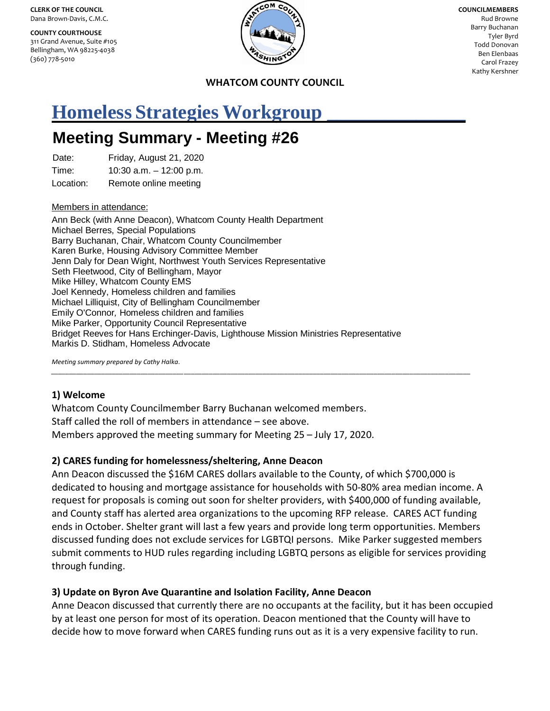**CLERK OF THE COUNCIL** Dana Brown-Davis, C.M.C.

**COUNTY COURTHOUSE** 311 Grand Avenue, Suite #105 Bellingham, WA 98225-4038 (360) 778-5010



**COUNCILMEMBERS** Rud Browne Barry Buchanan Tyler Byrd Todd Donovan Ben Elenbaas Carol Frazey Kathy Kershner

**WHATCOM COUNTY COUNCIL**

# **Homeless Strategies Workgroup \_\_\_\_\_\_\_\_\_\_\_\_\_\_**

# **Meeting Summary - Meeting #26**

Date: Friday, August 21, 2020

Time: 10:30 a.m. – 12:00 p.m.

Location: Remote online meeting

#### Members in attendance:

Ann Beck (with Anne Deacon), Whatcom County Health Department Michael Berres, Special Populations Barry Buchanan, Chair, Whatcom County Councilmember Karen Burke, Housing Advisory Committee Member Jenn Daly for Dean Wight, Northwest Youth Services Representative Seth Fleetwood, City of Bellingham, Mayor Mike Hilley, Whatcom County EMS Joel Kennedy, Homeless children and families Michael Lilliquist, City of Bellingham Councilmember Emily O'Connor*,* Homeless children and families Mike Parker, Opportunity Council Representative Bridget Reeves for Hans Erchinger-Davis, Lighthouse Mission Ministries Representative Markis D. Stidham, Homeless Advocate

*Meeting summary prepared by Cathy Halka.*

#### **1) Welcome**

Whatcom County Councilmember Barry Buchanan welcomed members. Staff called the roll of members in attendance – see above. Members approved the meeting summary for Meeting 25 – July 17, 2020.

#### **2) CARES funding for homelessness/sheltering, Anne Deacon**

Ann Deacon discussed the \$16M CARES dollars available to the County, of which \$700,000 is dedicated to housing and mortgage assistance for households with 50-80% area median income. A request for proposals is coming out soon for shelter providers, with \$400,000 of funding available, and County staff has alerted area organizations to the upcoming RFP release. CARES ACT funding ends in October. Shelter grant will last a few years and provide long term opportunities. Members discussed funding does not exclude services for LGBTQI persons. Mike Parker suggested members submit comments to HUD rules regarding including LGBTQ persons as eligible for services providing through funding.

*\_\_\_\_\_\_\_\_\_\_\_\_\_\_\_\_\_\_\_\_\_\_\_\_\_\_\_\_\_\_\_\_\_\_\_\_\_*\_\_\_\_\_\_\_\_\_\_\_\_\_\_\_\_\_\_\_\_\_\_\_\_\_\_\_\_\_\_\_\_\_\_\_\_\_\_\_\_\_\_\_\_\_\_\_\_\_\_\_\_\_\_\_\_\_\_\_\_\_\_\_\_\_\_\_\_\_\_\_\_\_\_\_\_\_\_\_\_

#### **3) Update on Byron Ave Quarantine and Isolation Facility, Anne Deacon**

Anne Deacon discussed that currently there are no occupants at the facility, but it has been occupied by at least one person for most of its operation. Deacon mentioned that the County will have to decide how to move forward when CARES funding runs out as it is a very expensive facility to run.